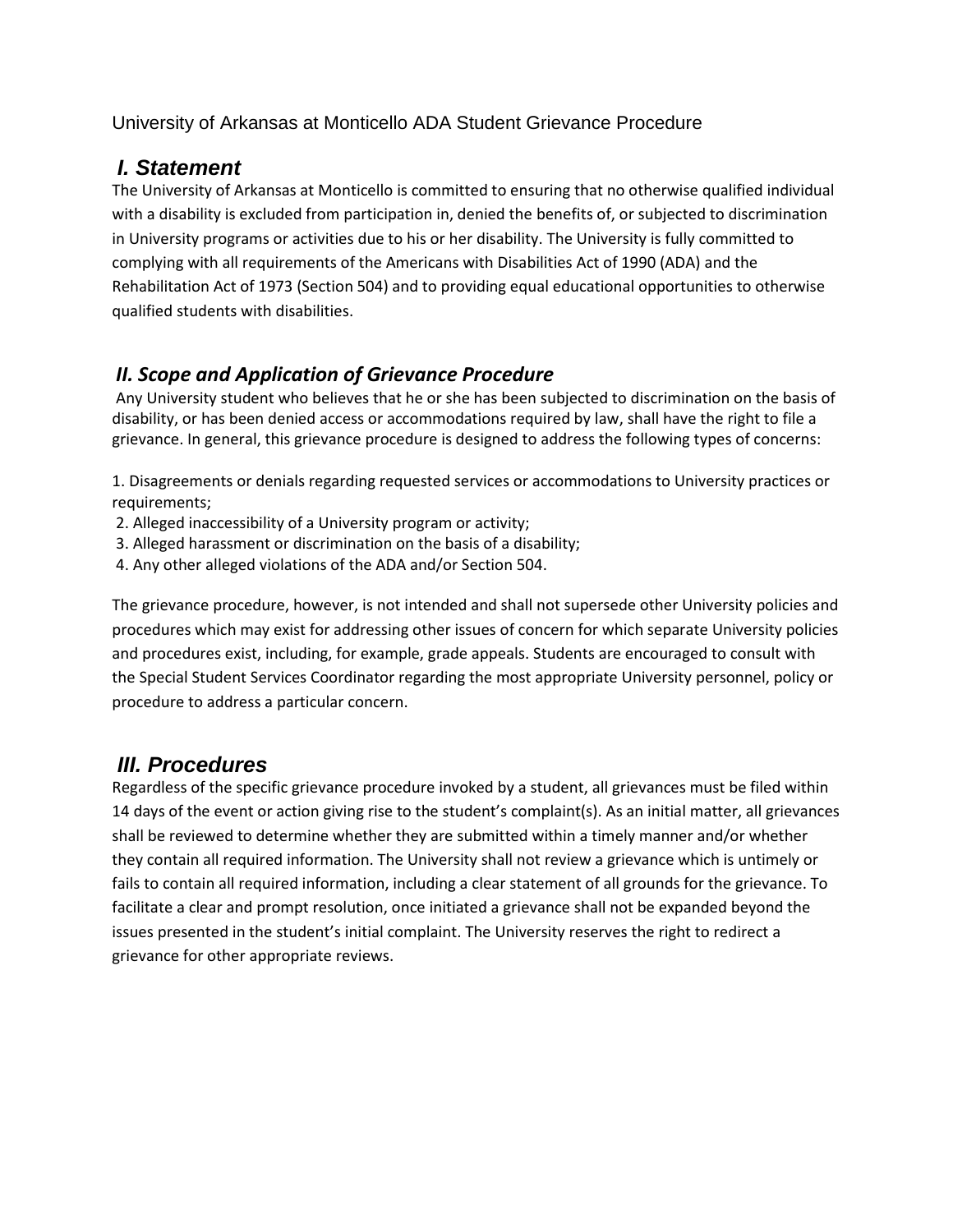University of Arkansas at Monticello ADA Student Grievance Procedure

### *I. Statement*

The University of Arkansas at Monticello is committed to ensuring that no otherwise qualified individual with a disability is excluded from participation in, denied the benefits of, or subjected to discrimination in University programs or activities due to his or her disability. The University is fully committed to complying with all requirements of the Americans with Disabilities Act of 1990 (ADA) and the Rehabilitation Act of 1973 (Section 504) and to providing equal educational opportunities to otherwise qualified students with disabilities.

### *II. Scope and Application of Grievance Procedure*

Any University student who believes that he or she has been subjected to discrimination on the basis of disability, or has been denied access or accommodations required by law, shall have the right to file a grievance. In general, this grievance procedure is designed to address the following types of concerns:

1. Disagreements or denials regarding requested services or accommodations to University practices or requirements;

- 2. Alleged inaccessibility of a University program or activity;
- 3. Alleged harassment or discrimination on the basis of a disability;
- 4. Any other alleged violations of the ADA and/or Section 504.

The grievance procedure, however, is not intended and shall not supersede other University policies and procedures which may exist for addressing other issues of concern for which separate University policies and procedures exist, including, for example, grade appeals. Students are encouraged to consult with the Special Student Services Coordinator regarding the most appropriate University personnel, policy or procedure to address a particular concern.

### *III. Procedures*

Regardless of the specific grievance procedure invoked by a student, all grievances must be filed within 14 days of the event or action giving rise to the student's complaint(s). As an initial matter, all grievances shall be reviewed to determine whether they are submitted within a timely manner and/or whether they contain all required information. The University shall not review a grievance which is untimely or fails to contain all required information, including a clear statement of all grounds for the grievance. To facilitate a clear and prompt resolution, once initiated a grievance shall not be expanded beyond the issues presented in the student's initial complaint. The University reserves the right to redirect a grievance for other appropriate reviews.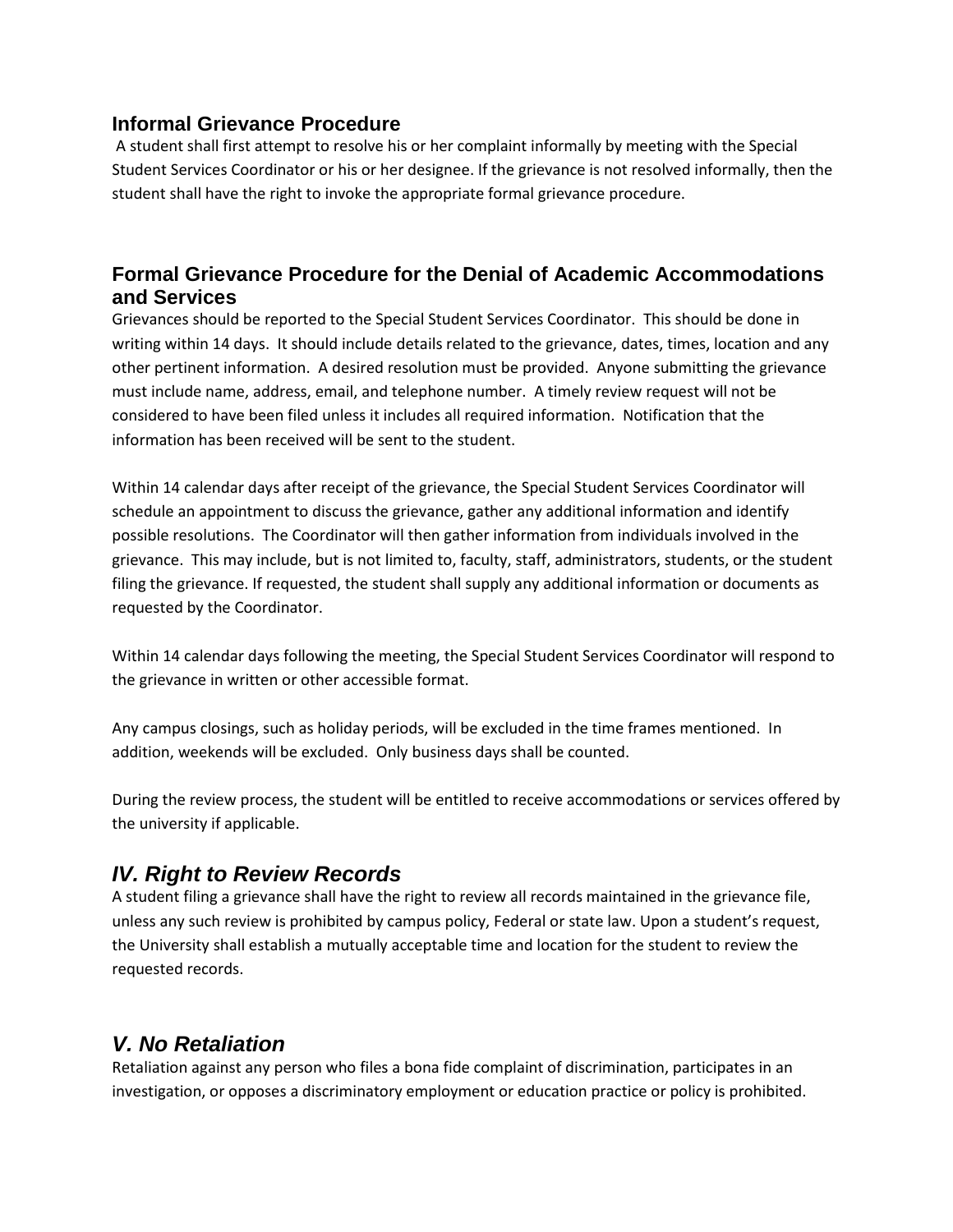#### **Informal Grievance Procedure**

A student shall first attempt to resolve his or her complaint informally by meeting with the Special Student Services Coordinator or his or her designee. If the grievance is not resolved informally, then the student shall have the right to invoke the appropriate formal grievance procedure.

#### **Formal Grievance Procedure for the Denial of Academic Accommodations and Services**

Grievances should be reported to the Special Student Services Coordinator. This should be done in writing within 14 days. It should include details related to the grievance, dates, times, location and any other pertinent information. A desired resolution must be provided. Anyone submitting the grievance must include name, address, email, and telephone number. A timely review request will not be considered to have been filed unless it includes all required information. Notification that the information has been received will be sent to the student.

Within 14 calendar days after receipt of the grievance, the Special Student Services Coordinator will schedule an appointment to discuss the grievance, gather any additional information and identify possible resolutions. The Coordinator will then gather information from individuals involved in the grievance. This may include, but is not limited to, faculty, staff, administrators, students, or the student filing the grievance. If requested, the student shall supply any additional information or documents as requested by the Coordinator.

Within 14 calendar days following the meeting, the Special Student Services Coordinator will respond to the grievance in written or other accessible format.

Any campus closings, such as holiday periods, will be excluded in the time frames mentioned. In addition, weekends will be excluded. Only business days shall be counted.

During the review process, the student will be entitled to receive accommodations or services offered by the university if applicable.

### *IV. Right to Review Records*

A student filing a grievance shall have the right to review all records maintained in the grievance file, unless any such review is prohibited by campus policy, Federal or state law. Upon a student's request, the University shall establish a mutually acceptable time and location for the student to review the requested records.

### *V. No Retaliation*

Retaliation against any person who files a bona fide complaint of discrimination, participates in an investigation, or opposes a discriminatory employment or education practice or policy is prohibited.